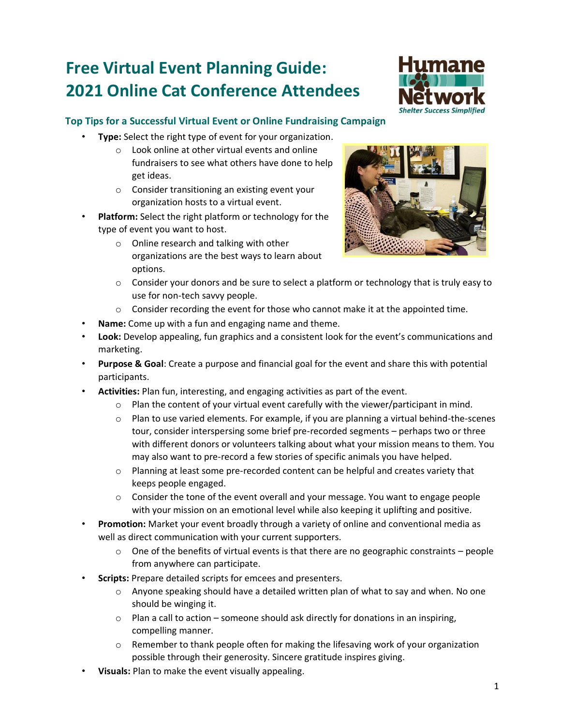# **Free Virtual Event Planning Guide: 2021 Online Cat Conference Attendees**



# **Top Tips for a Successful Virtual Event or Online Fundraising Campaign**

- **Type:** Select the right type of event for your organization.
	- o Look online at other virtual events and online fundraisers to see what others have done to help get ideas.
	- o Consider transitioning an existing event your organization hosts to a virtual event.
- **Platform:** Select the right platform or technology for the type of event you want to host.
	- o Online research and talking with other organizations are the best ways to learn about options.



- $\circ$  Consider your donors and be sure to select a platform or technology that is truly easy to use for non-tech savvy people.
- $\circ$  Consider recording the event for those who cannot make it at the appointed time.
- **Name:** Come up with a fun and engaging name and theme.
- **Look:** Develop appealing, fun graphics and a consistent look for the event's communications and marketing.
- **Purpose & Goal**: Create a purpose and financial goal for the event and share this with potential participants.
- **Activities:** Plan fun, interesting, and engaging activities as part of the event.
	- $\circ$  Plan the content of your virtual event carefully with the viewer/participant in mind.
	- $\circ$  Plan to use varied elements. For example, if you are planning a virtual behind-the-scenes tour, consider interspersing some brief pre-recorded segments – perhaps two or three with different donors or volunteers talking about what your mission means to them. You may also want to pre-record a few stories of specific animals you have helped.
	- $\circ$  Planning at least some pre-recorded content can be helpful and creates variety that keeps people engaged.
	- $\circ$  Consider the tone of the event overall and your message. You want to engage people with your mission on an emotional level while also keeping it uplifting and positive.
- **Promotion:** Market your event broadly through a variety of online and conventional media as well as direct communication with your current supporters.
	- $\circ$  One of the benefits of virtual events is that there are no geographic constraints people from anywhere can participate.
- **Scripts:** Prepare detailed scripts for emcees and presenters.
	- $\circ$  Anyone speaking should have a detailed written plan of what to say and when. No one should be winging it.
	- $\circ$  Plan a call to action someone should ask directly for donations in an inspiring, compelling manner.
	- $\circ$  Remember to thank people often for making the lifesaving work of your organization possible through their generosity. Sincere gratitude inspires giving.
- **Visuals:** Plan to make the event visually appealing.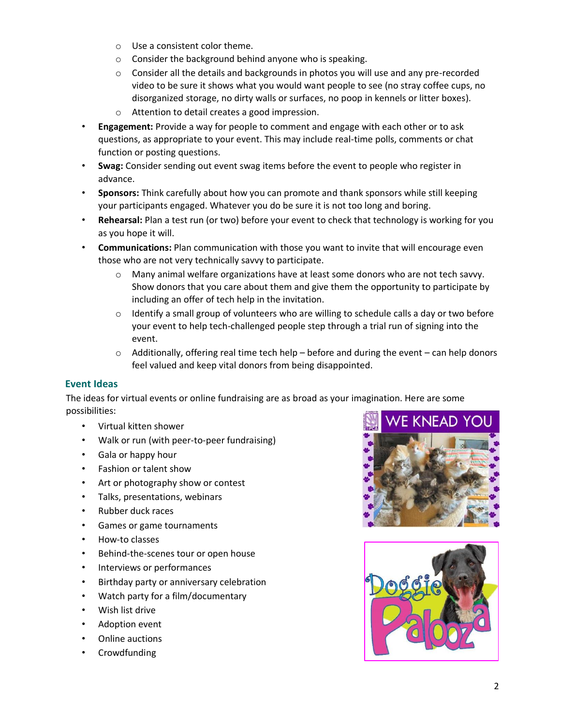- o Use a consistent color theme.
- o Consider the background behind anyone who is speaking.
- $\circ$  Consider all the details and backgrounds in photos you will use and any pre-recorded video to be sure it shows what you would want people to see (no stray coffee cups, no disorganized storage, no dirty walls or surfaces, no poop in kennels or litter boxes).
- o Attention to detail creates a good impression.
- **Engagement:** Provide a way for people to comment and engage with each other or to ask questions, as appropriate to your event. This may include real-time polls, comments or chat function or posting questions.
- **Swag:** Consider sending out event swag items before the event to people who register in advance.
- **Sponsors:** Think carefully about how you can promote and thank sponsors while still keeping your participants engaged. Whatever you do be sure it is not too long and boring.
- **Rehearsal:** Plan a test run (or two) before your event to check that technology is working for you as you hope it will.
- **Communications:** Plan communication with those you want to invite that will encourage even those who are not very technically savvy to participate.
	- $\circ$  Many animal welfare organizations have at least some donors who are not tech savvy. Show donors that you care about them and give them the opportunity to participate by including an offer of tech help in the invitation.
	- $\circ$  Identify a small group of volunteers who are willing to schedule calls a day or two before your event to help tech-challenged people step through a trial run of signing into the event.
	- $\circ$  Additionally, offering real time tech help before and during the event can help donors feel valued and keep vital donors from being disappointed.

### **Event Ideas**

The ideas for virtual events or online fundraising are as broad as your imagination. Here are some possibilities:

- Virtual kitten shower
- Walk or run (with peer-to-peer fundraising)
- Gala or happy hour
- Fashion or talent show
- Art or photography show or contest
- Talks, presentations, webinars
- Rubber duck races
- Games or game tournaments
- How-to classes
- Behind-the-scenes tour or open house
- Interviews or performances
- Birthday party or anniversary celebration
- Watch party for a film/documentary
- Wish list drive
- Adoption event
- Online auctions
- Crowdfunding



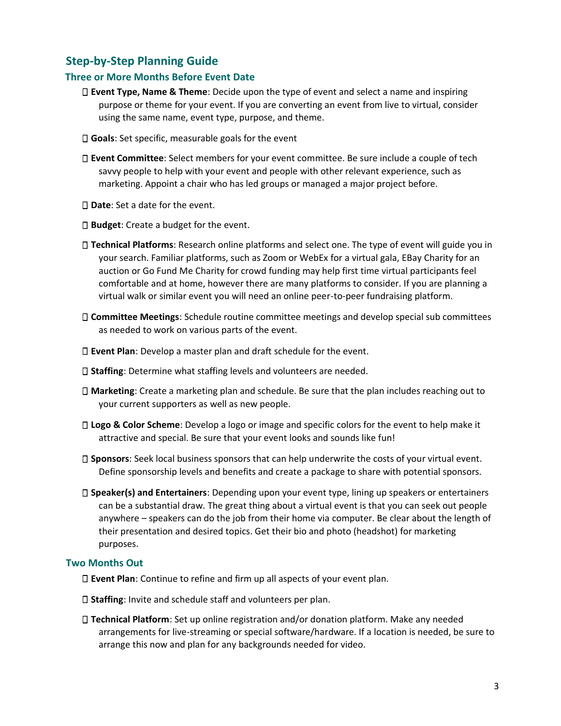# **Step-by-Step Planning Guide**

#### **Three or More Months Before Event Date**

- **Event Type, Name & Theme**: Decide upon the type of event and select a name and inspiring purpose or theme for your event. If you are converting an event from live to virtual, consider using the same name, event type, purpose, and theme.
- **Goals**: Set specific, measurable goals for the event
- **Event Committee**: Select members for your event committee. Be sure include a couple of tech savvy people to help with your event and people with other relevant experience, such as marketing. Appoint a chair who has led groups or managed a major project before.
- **Date**: Set a date for the event.
- **Budget**: Create a budget for the event.
- **Technical Platforms**: Research online platforms and select one. The type of event will guide you in your search. Familiar platforms, such as Zoom or WebEx for a virtual gala, EBay Charity for an auction or Go Fund Me Charity for crowd funding may help first time virtual participants feel comfortable and at home, however there are many platforms to consider. If you are planning a virtual walk or similar event you will need an online peer-to-peer fundraising platform.
- **Committee Meetings**: Schedule routine committee meetings and develop special sub committees as needed to work on various parts of the event.
- **Event Plan**: Develop a master plan and draft schedule for the event.
- **Staffing**: Determine what staffing levels and volunteers are needed.
- **Marketing**: Create a marketing plan and schedule. Be sure that the plan includes reaching out to your current supporters as well as new people.
- **Logo & Color Scheme**: Develop a logo or image and specific colors for the event to help make it attractive and special. Be sure that your event looks and sounds like fun!
- **Sponsors**: Seek local business sponsors that can help underwrite the costs of your virtual event. Define sponsorship levels and benefits and create a package to share with potential sponsors.
- **Speaker(s) and Entertainers**: Depending upon your event type, lining up speakers or entertainers can be a substantial draw. The great thing about a virtual event is that you can seek out people anywhere – speakers can do the job from their home via computer. Be clear about the length of their presentation and desired topics. Get their bio and photo (headshot) for marketing purposes.

#### **Two Months Out**

- **Event Plan**: Continue to refine and firm up all aspects of your event plan.
- **Staffing**: Invite and schedule staff and volunteers per plan.
- **Technical Platform**: Set up online registration and/or donation platform. Make any needed arrangements for live-streaming or special software/hardware. If a location is needed, be sure to arrange this now and plan for any backgrounds needed for video.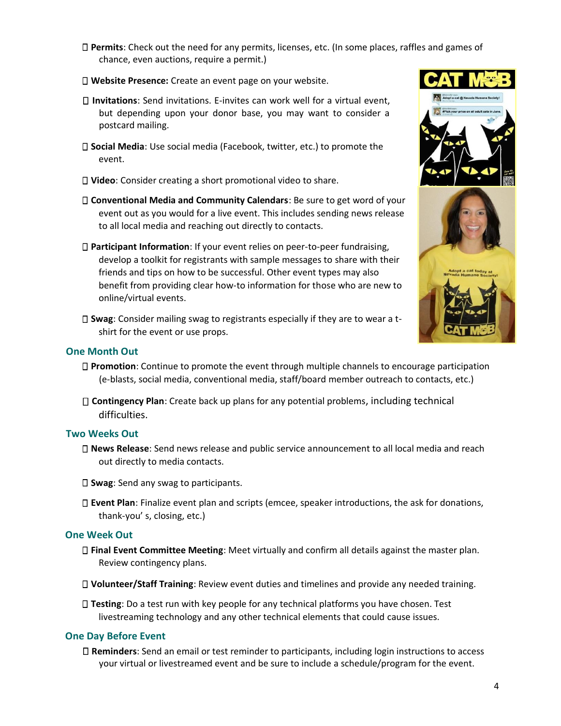- **Permits**: Check out the need for any permits, licenses, etc. (In some places, raffles and games of chance, even auctions, require a permit.)
- **Website Presence:** Create an event page on your website.
- **Invitations**: Send invitations. E-invites can work well for a virtual event, but depending upon your donor base, you may want to consider a postcard mailing.
- **Social Media**: Use social media (Facebook, twitter, etc.) to promote the event.
- **Video**: Consider creating a short promotional video to share.
- **Conventional Media and Community Calendars**: Be sure to get word of your event out as you would for a live event. This includes sending news release to all local media and reaching out directly to contacts.
- **Participant Information**: If your event relies on peer-to-peer fundraising, develop a toolkit for registrants with sample messages to share with their friends and tips on how to be successful. Other event types may also benefit from providing clear how-to information for those who are new to online/virtual events.
- **Swag**: Consider mailing swag to registrants especially if they are to wear a tshirt for the event or use props.

## **One Month Out**

- **Promotion**: Continue to promote the event through multiple channels to encourage participation (e-blasts, social media, conventional media, staff/board member outreach to contacts, etc.)
- **Contingency Plan**: Create back up plans for any potential problems, including technical difficulties.

## **Two Weeks Out**

- **News Release**: Send news release and public service announcement to all local media and reach out directly to media contacts.
- **Swag**: Send any swag to participants.
- **Event Plan**: Finalize event plan and scripts (emcee, speaker introductions, the ask for donations, thank-you' s, closing, etc.)

### **One Week Out**

- **Final Event Committee Meeting**: Meet virtually and confirm all details against the master plan. Review contingency plans.
- **Volunteer/Staff Training**: Review event duties and timelines and provide any needed training.
- **Testing**: Do a test run with key people for any technical platforms you have chosen. Test livestreaming technology and any other technical elements that could cause issues.

### **One Day Before Event**

**Reminders**: Send an email or test reminder to participants, including login instructions to access your virtual or livestreamed event and be sure to include a schedule/program for the event.